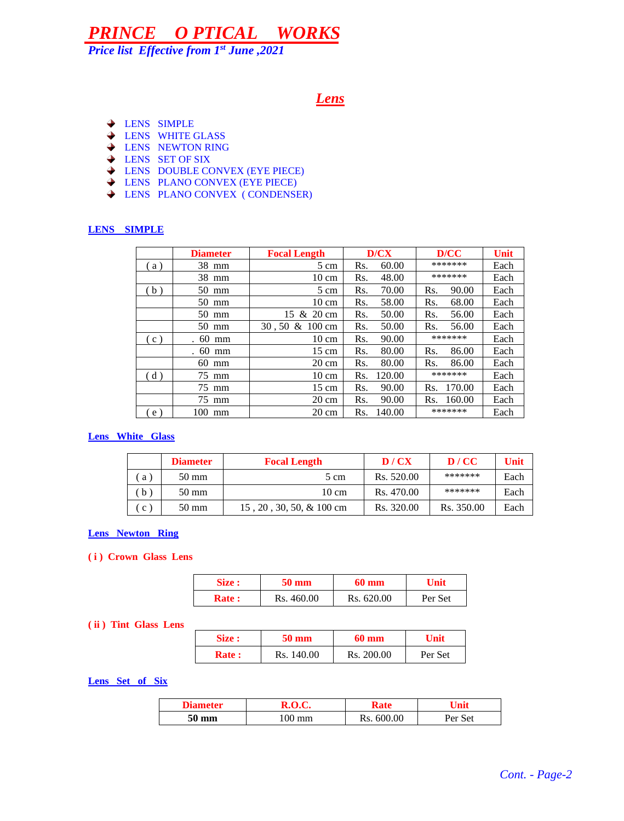*Price list Effective from 1st June ,2021*

### *Lens*

- **LENS SIMPLE**
- **← LENS WHITE GLASS**
- **LENS NEWTON RING**
- **↓ LENS SET OF SIX**
- LENS DOUBLE CONVEX (EYE PIECE)
- LENS PLANO CONVEX (EYE PIECE)
- LENS PLANO CONVEX ( CONDENSER)

#### **LENS SIMPLE**

|    | <b>Diameter</b> | <b>Focal Length</b>        | D/CX          | D/CC          | <b>Unit</b> |
|----|-----------------|----------------------------|---------------|---------------|-------------|
| a) | 38 mm           | 5 cm                       | 60.00<br>Rs.  | *******       | Each        |
|    | 38 mm           | $10 \text{ cm}$            | 48.00<br>Rs.  | *******       | Each        |
| b) | $50 \text{ mm}$ | 5 cm                       | 70.00<br>Rs.  | 90.00<br>Rs.  | Each        |
|    | $50 \text{ mm}$ | $10 \text{ cm}$            | 58.00<br>Rs.  | 68.00<br>Rs.  | Each        |
|    | $50 \text{ mm}$ | 15 & 20 cm                 | Rs.<br>50.00  | 56.00<br>Rs.  | Each        |
|    | $50 \text{ mm}$ | $30, 50 \& 100 \text{ cm}$ | Rs.<br>50.00  | 56.00<br>Rs.  | Each        |
| c) | $.60$ mm        | $10 \text{ cm}$            | 90.00<br>Rs.  | *******       | Each        |
|    | $.60$ mm        | $15 \text{ cm}$            | 80.00<br>Rs.  | 86.00<br>Rs.  | Each        |
|    | $60$ mm         | $20 \text{ cm}$            | Rs.<br>80.00  | Rs.<br>86.00  | Each        |
| d) | 75 mm           | $10 \text{ cm}$            | 120.00<br>Rs. | *******       | Each        |
|    | 75 mm           | $15 \text{ cm}$            | Rs.<br>90.00  | 170.00<br>Rs. | Each        |
|    | 75 mm           | $20 \text{ cm}$            | 90.00<br>Rs.  | 160.00<br>Rs. | Each        |
| e) | $100$ mm        | $20 \text{ cm}$            | 140.00<br>Rs. | *******       | Each        |

#### **Lens White Glass**

|                   | <b>Diameter</b> | <b>Focal Length</b>      | D/CX       | D/CC       | Unit |
|-------------------|-----------------|--------------------------|------------|------------|------|
| a l               | $50 \text{ mm}$ | 5 cm                     | Rs. 520.00 | *******    | Each |
| $\mathbf{b}$ )    | 50 mm           | $10 \text{ cm}$          | Rs. 470.00 | *******    | Each |
| $\cdot$ C $\cdot$ | $50 \text{ mm}$ | 15, 20, 30, 50, & 100 cm | Rs. 320.00 | Rs. 350.00 | Each |

#### **Lens Newton Ring**

#### **( i ) Crown Glass Lens**

| Size :        | 50 mm      | 60 mm      | Unit    |
|---------------|------------|------------|---------|
| <b>Rate :</b> | Rs. 460.00 | Rs. 620.00 | Per Set |

#### **( ii ) Tint Glass Lens**

| Size :       | $50 \text{ mm}$ | $60 \text{ mm}$ | Unit    |
|--------------|-----------------|-----------------|---------|
| <b>Rate:</b> | Rs. 140.00      | Rs. 200.00      | Per Set |

#### **Lens Set of Six**

| <b>Diameter</b> | R.O.C.           |            |         |
|-----------------|------------------|------------|---------|
| 50 mm           | $.00 \text{ mm}$ | Rs. 600.00 | Per Set |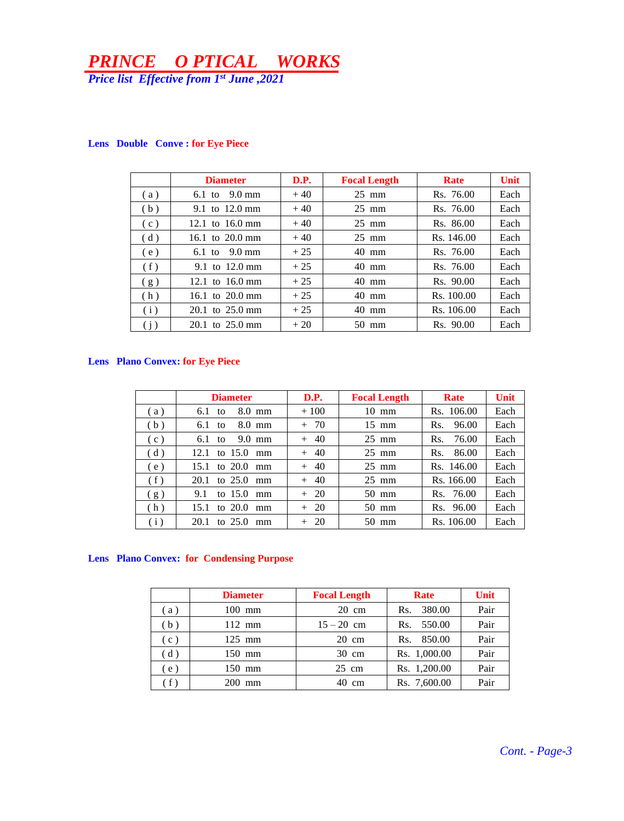*Price list Effective from 1st June ,2021*

|     | <b>Diameter</b>           | D.P.  | <b>Focal Length</b> | Rate       | <b>Unit</b> |
|-----|---------------------------|-------|---------------------|------------|-------------|
| (a) | 9.0 mm<br>$6.1$ to        | $+40$ | $25 \text{ mm}$     | Rs. 76.00  | Each        |
| (b) | 9.1 to $12.0 \text{ mm}$  | $+40$ | $25 \text{ mm}$     | Rs. 76.00  | Each        |
| (c) | 12.1 to $16.0 \text{ mm}$ | $+40$ | $25 \text{ mm}$     | Rs. 86.00  | Each        |
| (d) | 16.1 to 20.0 mm           | $+40$ | $25 \text{ mm}$     | Rs. 146.00 | Each        |
| (e) | 6.1 to $9.0 \text{ mm}$   | $+25$ | $40 \text{ mm}$     | Rs. 76.00  | Each        |
| (f) | 9.1 to $12.0 \text{ mm}$  | $+25$ | $40 \text{ mm}$     | Rs. 76.00  | Each        |
| (g) | 12.1 to $16.0 \text{ mm}$ | $+25$ | $40 \text{ mm}$     | Rs. 90.00  | Each        |
| (h) | 16.1 to $20.0 \text{ mm}$ | $+25$ | $40 \text{ mm}$     | Rs. 100.00 | Each        |
| (i) | $20.1$ to $25.0$ mm       | $+25$ | $40 \text{ mm}$     | Rs. 106.00 | Each        |
| (j) | $20.1$ to $25.0$ mm       | $+20$ | $50 \text{ mm}$     | Rs. 90.00  | Each        |

#### **Lens Double Conve : for Eye Piece**

#### **Lens Plano Convex: for Eye Piece**

|     | <b>Diameter</b>                       | D.P.   | <b>Focal Length</b> | Rate         | <b>Unit</b> |
|-----|---------------------------------------|--------|---------------------|--------------|-------------|
| (a) | $8.0 \text{ mm}$<br>6.1 <sub>to</sub> | $+100$ | $10 \text{ mm}$     | Rs. 106.00   | Each        |
| (b) | $8.0 \text{ mm}$<br>6.1 <sub>to</sub> | $+ 70$ | $15 \text{ mm}$     | 96.00<br>Rs. | Each        |
| (c) | 9.0 mm<br>$6.1$ to                    | $+ 40$ | $25 \text{ mm}$     | 76.00<br>Rs. | Each        |
| (d) | to $15.0$ mm<br>12.1                  | $+ 40$ | $25 \text{ mm}$     | 86.00<br>Rs. | Each        |
| (e) | to 20.0 mm<br>15.1                    | $+ 40$ | $25 \text{ mm}$     | Rs. 146.00   | Each        |
| (f) | 20.1 to 25.0 mm                       | $+ 40$ | $25 \text{ mm}$     | Rs. 166.00   | Each        |
| (g) | to $15.0$<br>9.1<br>mm                | $+20$  | $50 \text{ mm}$     | Rs. 76.00    | Each        |
| (h) | to $20.0$<br>15.1<br>mm               | $+20$  | $50 \text{ mm}$     | Rs. 96.00    | Each        |
| (i) | to $25.0$<br>20.1<br>mm               | $+20$  | $50 \text{ mm}$     | Rs. 106.00   | Each        |

### **Lens Plano Convex: for Condensing Purpose**

|                                  | <b>Diameter</b> | <b>Focal Length</b> | Rate          | Unit |
|----------------------------------|-----------------|---------------------|---------------|------|
| $\left( a\right)$                | $100$ mm        | $20 \text{ cm}$     | 380.00<br>Rs. | Pair |
| (b)                              | $112$ mm        | $15 - 20$ cm        | 550.00<br>Rs. | Pair |
| (c)                              | $125$ mm        | $20 \text{ cm}$     | 850.00<br>Rs. | Pair |
| (d)                              | $150$ mm        | $30 \text{ cm}$     | Rs. 1,000.00  | Pair |
| (e)                              | $150$ mm        | $25 \text{ cm}$     | Rs. 1,200.00  | Pair |
| $\left( \left. f\right. \right)$ | $200$ mm        | $40 \text{ cm}$     | Rs. 7,600.00  | Pair |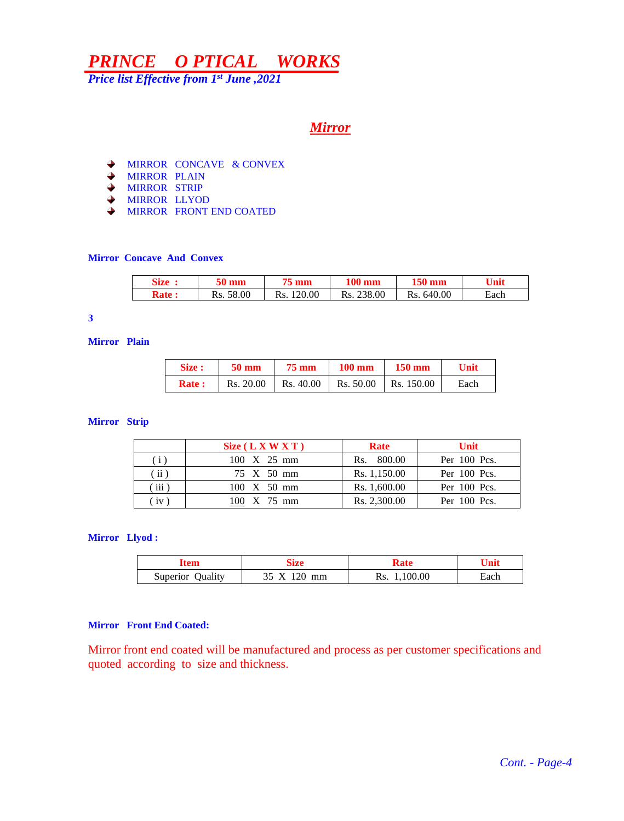*Price list Effective from 1 st June ,2021*

### *Mirror*

- ◆ MIRROR CONCAVE & CONVEX
- **WIRROR PLAIN**
- **◆ MIRROR STRIP**
- MIRROR LLYOD
- MIRROR FRONT END COATED

#### **Mirror Concave And Convex**

| Size :       | 50 mm        |               | $100 \text{ mm}$ | 150 mm        | Unit |
|--------------|--------------|---------------|------------------|---------------|------|
| <b>Rate:</b> | 58.00<br>Rs. | 120.00<br>Ks. | 238.00<br>Rs.    | 640.00<br>Rs. | Each |

#### **3**

**Mirror Plain** 

| Size :       | <b>50 mm</b>                                                             | <b>75 mm</b> | $100 \text{ mm}$ 150 mm | Unit |
|--------------|--------------------------------------------------------------------------|--------------|-------------------------|------|
| <b>Rate:</b> | $\vert$ Rs. 20.00 $\vert$ Rs. 40.00 $\vert$ Rs. 50.00 $\vert$ Rs. 150.00 |              |                         | Each |

#### **Mirror Strip**

|               | Size (L X W X T)           | Rate         | <b>Unit</b>    |
|---------------|----------------------------|--------------|----------------|
| (i)           | $100 \times 25 \text{ mm}$ | Rs. 800.00   | Per 100 Pcs.   |
| (i)           | 75 X 50 mm                 | Rs. 1,150.00 | Per 100 Pcs.   |
| $\left($ iii) | $100 \times 50 \text{ mm}$ | Rs. 1,600.00 | Per 100 Pcs.   |
| (iv)          | 100 X 75 mm                | Rs. 2,300.00 | Per $100$ Pcs. |

#### **Mirror Llyod :**

| sıze<br>'tem               |    |                 | Unit |
|----------------------------|----|-----------------|------|
| <b>Ouality</b><br>Superior | mm | 1,100.00<br>Rs. | Each |

#### **Mirror Front End Coated:**

Mirror front end coated will be manufactured and process as per customer specifications and quoted according to size and thickness.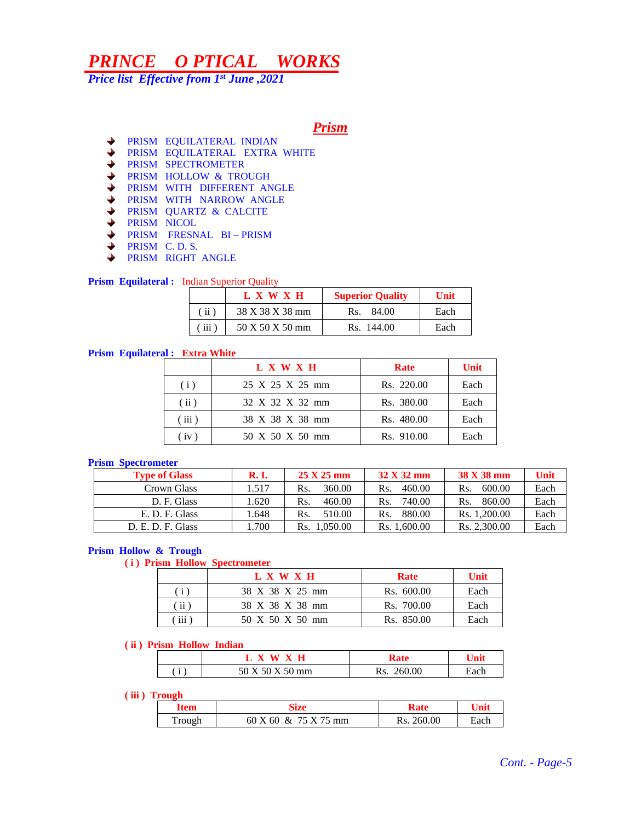*Price list Effective from 1st June ,2021*

*Prism*

- PRISM EQUILATERAL INDIAN
- ◆ PRISM EQUILATERAL EXTRA WHITE
- ♦ PRISM SPECTROMETER
- $\blacklozenge$ PRISM HOLLOW & TROUGH
- $\blacklozenge$ PRISM WITH DIFFERENT ANGLE
- $\frac{1}{2}$ PRISM WITH NARROW ANGLE
- PRISM QUARTZ & CALCITE
- $\ddotmark$ PRISM NICOL
- PRISM FRESNAL BI PRISM  $\ddotmark$
- $\ddotmark$ PRISM C. D. S.
- $\ddotmark$ PRISM RIGHT ANGLE

**Prism Equilateral :** Indian Superior Quality

|                         | L X W X H       | <b>Superior Quality</b> | Unit |
|-------------------------|-----------------|-------------------------|------|
| (iii)                   | 38 X 38 X 38 mm | 84.00<br>Rs.            | Each |
| $\langle$ iii $\rangle$ | 50 X 50 X 50 mm | Rs. 144.00              | Each |

#### **Prism Equilateral : Extra White**

|       | L X W X H       | Rate       | Unit |
|-------|-----------------|------------|------|
| (i)   | 25 X 25 X 25 mm | Rs. 220.00 | Each |
| (iii) | 32 X 32 X 32 mm | Rs. 380.00 | Each |
| (iii) | 38 X 38 X 38 mm | Rs. 480.00 | Each |
| (iv)  | 50 X 50 X 50 mm | Rs. 910.00 | Each |

#### **Prism Spectrometer**

| <b>Type of Glass</b> | <b>R.I.</b> | $25 \text{ X } 25 \text{ mm}$ | $32 \text{ X } 32 \text{ mm}$ | 38 X 38 mm    | Unit |
|----------------------|-------------|-------------------------------|-------------------------------|---------------|------|
| Crown Glass          | 1.517       | 360.00<br>Rs.                 | 460.00<br>Rs.                 | 600.00<br>Rs. | Each |
| D. F. Glass          | .620        | 460.00<br>Rs.                 | 740.00<br>Rs.                 | 860.00<br>Rs. | Each |
| E. D. F. Glass       | .648        | 510.00<br>Rs                  | 880.00<br>$\rm Rs$            | Rs. 1.200.00  | Each |
| D. E. D. F. Glass    | .700        | 1.050.00<br>Rs.               | Rs. 1.600.00                  | Rs. 2.300.00  | Each |

#### **Prism Hollow & Trough**

**( i ) Prism Hollow Spectrometer**

|     | L X W X H       | Rate       | Unit |
|-----|-----------------|------------|------|
| (i) | 38 X 38 X 25 mm | Rs. 600.00 | Each |
| πï  | 38 X 38 X 38 mm | Rs. 700.00 | Each |
| iii | 50 X 50 X 50 mm | Rs. 850.00 | Each |

#### **( ii ) Prism Hollow Indian**

| $\mathbf{r}$ | mm | $\sim$ |  |
|--------------|----|--------|--|

#### **( iii ) Trough**

| Item   | .                    |               |      |
|--------|----------------------|---------------|------|
| Trough | 60 X 60 & 75 X 75 mm | 260.00<br>Rs. | iach |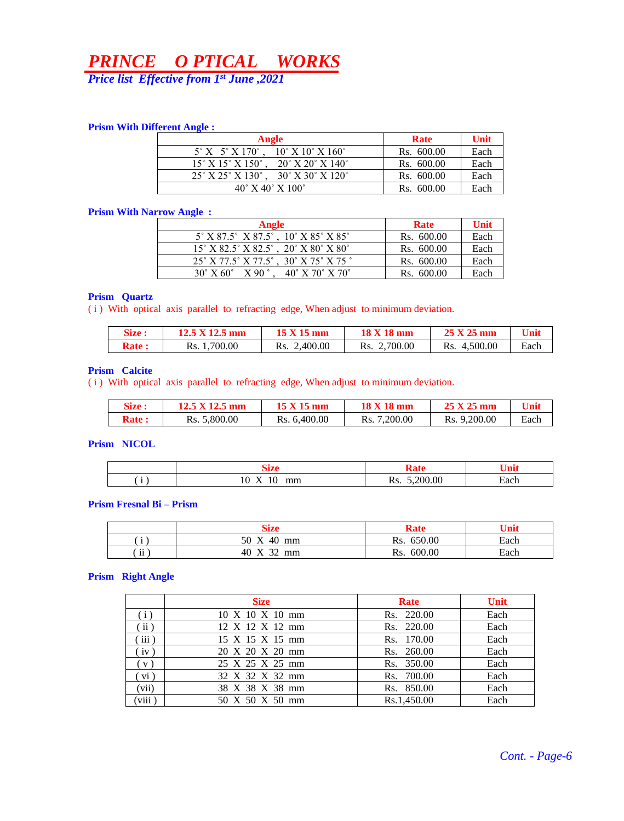*Price list Effective from 1st June ,2021*

#### **Prism With Different Angle :**

| Angle                                                                                           | Rate       | Unit |
|-------------------------------------------------------------------------------------------------|------------|------|
| $5^\circ$ X $5^\circ$ X 170 <sup>°</sup> , 10 <sup>°</sup> X 10 <sup>°</sup> X 160 <sup>°</sup> | Rs. 600.00 | Each |
| $20^{\circ}$ X $20^{\circ}$ X $140^{\circ}$<br>$15^{\circ}$ X $15^{\circ}$ X $150^{\circ}$ .    | Rs. 600.00 | Each |
| $25^{\circ}$ X $25^{\circ}$ X $130^{\circ}$ . $30^{\circ}$ X $30^{\circ}$ X $120^{\circ}$       | Rs. 600.00 | Each |
| $40^{\circ}$ X $40^{\circ}$ X $100^{\circ}$                                                     | Rs. 600.00 | Each |

#### **Prism With Narrow Angle :**

| Angle                                         | <b>Rate</b> | Unit |
|-----------------------------------------------|-------------|------|
| $5^{\circ}$ X 87.5° X 87.5°, 10° X 85° X 85°  | Rs. 600.00  | Each |
| $15^{\circ}$ X 82.5° X 82.5°, 20° X 80° X 80° | Rs. 600.00  | Each |
| 25° X 77.5° X 77.5°, 30° X 75° X 75 °         | Rs. 600.00  | Each |
| $30^{\circ}$ X 60° X 90°, 40° X 70° X 70°     | Rs. 600.00  | Each |

#### **Prism Quartz**

( i ) With optical axis parallel to refracting edge, When adjust to minimum deviation.

| <b>Size :</b> | $12.5 \text{ X } 12.5 \text{ mm}$ | 15 X 15 mm      | 18 X 18 mm      | 25 X 25 mm      | $\mathbf{v}_{\text{init}}$ |
|---------------|-----------------------------------|-----------------|-----------------|-----------------|----------------------------|
| <b>Rate :</b> | Rs. 1,700.00                      | 2,400.00<br>Rs. | 2,700.00<br>Rs. | 4.500.00<br>Rs. | Each                       |

#### **Prism Calcite**

( i ) With optical axis parallel to refracting edge, When adjust to minimum deviation.

| <b>Size :</b> | $12.5 \times 12.5 \text{ mm}$ | 15 X 15 mm   | 18 X 18 mm        | 25 X 25 mm   | Unit |
|---------------|-------------------------------|--------------|-------------------|--------------|------|
| <b>Rate :</b> | Rs. 5,800.00                  | Rs. 6,400.00 | 7,200.00<br>Rs. . | Rs. 9.200.00 | Each |

#### **Prism NICOL**

|                                       | 1770<br>ли                                  | ÷                    | ли                               |
|---------------------------------------|---------------------------------------------|----------------------|----------------------------------|
| $\bullet$<br>$\overline{\phantom{a}}$ | mm<br>1 U<br>$\cdot$<br>$\lambda$<br>------ | .200.00<br>-<br>172. | $\overline{\phantom{0}}$<br>Each |

#### **Prism Fresnal Bi – Prism**

|                | <b>Size</b>                                 | Rate          | Unit |
|----------------|---------------------------------------------|---------------|------|
| $\bullet$      | $\boldsymbol{\mathrm{X}}$<br>40<br>50<br>mm | 650.00<br>Rs. | Each |
| $\cdots$<br>11 | $\mathbf{v}$<br>$\mathcal{D}$<br>40<br>mm   | 600.00<br>Rs. | Each |

#### **Prism Right Angle**

|                       | <b>Size</b>                         | Rate        | <b>Unit</b> |
|-----------------------|-------------------------------------|-------------|-------------|
| (i)                   | $10 \times 10 \times 10 \text{ mm}$ | Rs. 220.00  | Each        |
| (i)                   | $12 \times 12 \times 12 \text{ mm}$ | Rs. 220.00  | Each        |
| iii)                  | 15 X 15 X 15 mm                     | Rs. 170.00  | Each        |
| iv)                   | 20 X 20 X 20 mm                     | Rs. 260.00  | Each        |
| $\left(\nabla\right)$ | 25 X 25 X 25 mm                     | Rs. 350.00  | Each        |
| vi)                   | 32 X 32 X 32 mm                     | Rs. 700.00  | Each        |
| (vii)                 | 38 X 38 X 38 mm                     | Rs. 850.00  | Each        |
| (viii)                | 50 X 50 X 50 mm                     | Rs.1.450.00 | Each        |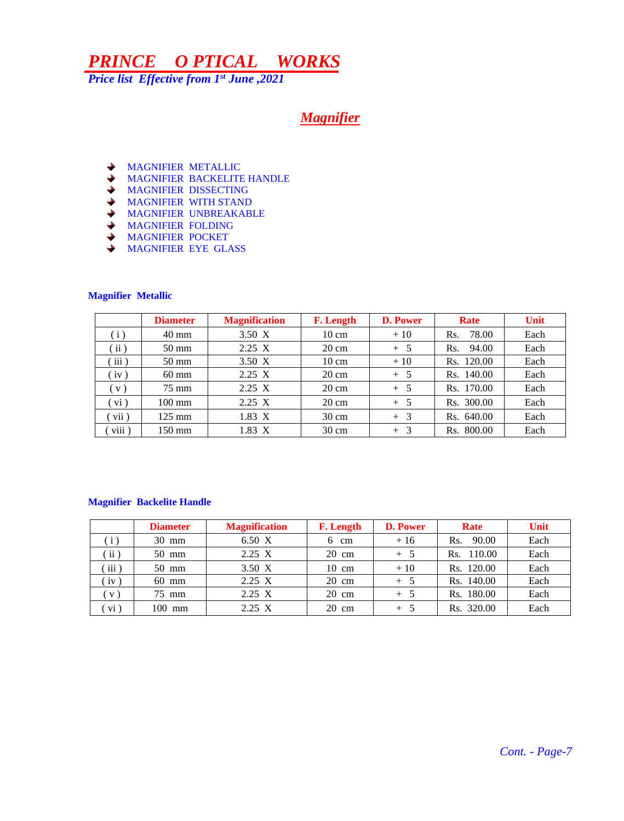*Price list Effective from 1st June ,2021*

## *Magnifier*

- $\ddotmark$ MAGNIFIER METALLIC
- MAGNIFIER BACKELITE HANDLE
- MAGNIFIER DISSECTING
- MAGNIFIER WITH STAND
- MAGNIFIER UNBREAKABLE
- MAGNIFIER FOLDING
- MAGNIFIER POCKET
- MAGNIFIER EYE GLASS

#### **Magnifier Metallic**

|                            | <b>Diameter</b>  | <b>Magnification</b> | <b>F.</b> Length | <b>D. Power</b> | Rate         | Unit |
|----------------------------|------------------|----------------------|------------------|-----------------|--------------|------|
| (i)                        | $40 \text{ mm}$  | 3.50 X               | $10 \text{ cm}$  | $+10$           | 78.00<br>Rs. | Each |
| $\left( \text{ii} \right)$ | $50 \text{ mm}$  | $2.25 \text{ X}$     | $20 \text{ cm}$  | $+5$            | 94.00<br>Rs. | Each |
| iii)                       | $50 \text{ mm}$  | $3.50 \text{ X}$     | $10 \text{ cm}$  | $+10$           | Rs. 120.00   | Each |
| iv)                        | 60 mm            | $2.25 \text{ X}$     | $20 \text{ cm}$  | $+5$            | Rs. 140.00   | Each |
| V)                         | 75 mm            | $2.25 \text{ X}$     | $20 \text{ cm}$  | $+ 5$           | Rs. 170.00   | Each |
| vi)                        | $100 \text{ mm}$ | $2.25 \text{ X}$     | $20 \text{ cm}$  | $+5$            | Rs. 300.00   | Each |
| vii)                       | $125 \text{ mm}$ | $1.83\text{ X}$      | $30 \text{ cm}$  | $+3$            | Rs. 640.00   | Each |
| $\cdots$<br>$V111$ )       | 150 mm           | $1.83\text{ X}$      | $30 \text{ cm}$  | $+3$            | Rs. 800.00   | Each |

#### **Magnifier Backelite Handle**

|                 | <b>Diameter</b> | <b>Magnification</b> | <b>F.</b> Length | <b>D. Power</b> | Rate          | Unit |
|-----------------|-----------------|----------------------|------------------|-----------------|---------------|------|
| (i)             | $30 \text{ mm}$ | 6.50 X               | 6<br>cm          | $+16$           | 90.00<br>Rs.  | Each |
| ii)             | $50$ mm         | 2.25 X               | $20 \text{ cm}$  | $+5$            | 110.00<br>Rs. | Each |
| iii)            | $50 \text{ mm}$ | 3.50 X               | $10 \text{ cm}$  | $+10$           | Rs. 120.00    | Each |
| $iv$ )          | $60$ mm         | 2.25 X               | $20 \text{ cm}$  | $+$ 5           | Rs. 140.00    | Each |
| V)              | 75 mm           | 2.25 X               | $20 \text{ cm}$  | $+5$            | Rs. 180.00    | Each |
| $\mathbf{vi}$ ) | $100$ mm        | 2.25 X               | $20 \text{ cm}$  | $+$ 5           | Rs. 320.00    | Each |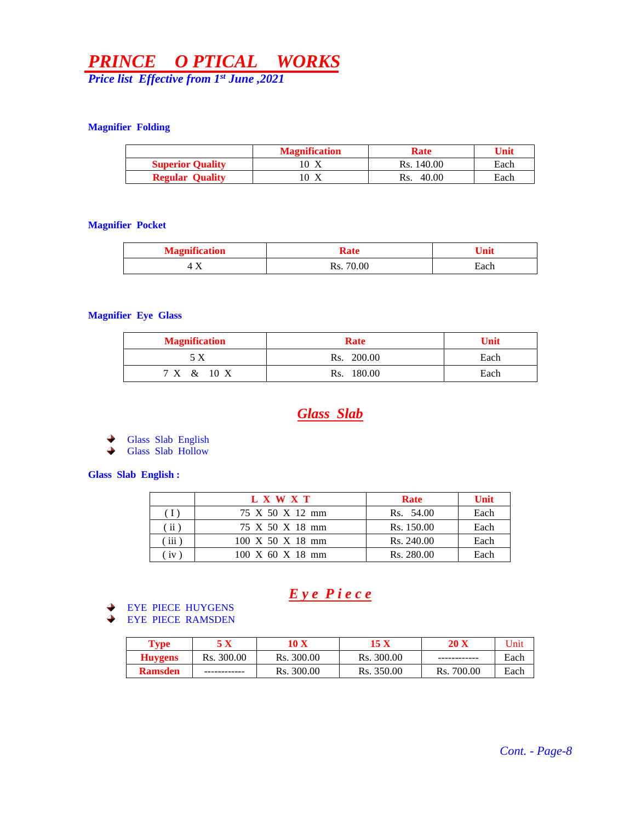*Price list Effective from 1st June ,2021*

#### **Magnifier Folding**

|                         | <b>Magnification</b> | Rate         | Unit |
|-------------------------|----------------------|--------------|------|
| <b>Superior Quality</b> | 10 X                 | Rs. 140.00   | Each |
| <b>Regular Quality</b>  | .0<br>Δ              | 40.00<br>Rs. | Each |

#### **Magnifier Pocket**

| <b>Magnification</b> |              |      |
|----------------------|--------------|------|
| T 11                 | 70.00<br>Rs. | Each |

#### **Magnifier Eye Glass**

| <b>Magnification</b> | Rate       | <b>Unit</b> |
|----------------------|------------|-------------|
|                      | Rs. 200.00 | Each        |
| 7 X & 10 X           | Rs. 180.00 | Each        |

### *Glass Slab*

Glass Slab English

 $\ddotmark$ Glass Slab Hollow

#### **Glass Slab English :**

|                        | L X W X T                            | <b>Rate</b> | Unit |
|------------------------|--------------------------------------|-------------|------|
|                        | 75 X 50 X 12 mm                      | Rs. 54.00   | Each |
| $\langle$ ii $\rangle$ | 75 X 50 X 18 mm                      | Rs. 150.00  | Each |
| $\overline{111}$       | $100 \times 50 \times 18 \text{ mm}$ | Rs. 240.00  | Each |
| 1V                     | $100 \times 60 \times 18$ mm         | Rs. 280.00  | Each |

## *E y e P i e c e*

#### EYE PIECE HUYGENS

EYE PIECE RAMSDEN ٠

| $\mathbf{v}_{\mathbf{v}\mathbf{p}\mathbf{e}}$ |            | $0\,$ X    | 15 X       | 20 X          | <b>Jnit</b> |
|-----------------------------------------------|------------|------------|------------|---------------|-------------|
| <b>Huygens</b>                                | Rs. 300.00 | Rs. 300.00 | Rs. 300.00 |               | Each        |
| <b>Ramsden</b>                                |            | Rs. 300.00 | Rs. 350.00 | 700.00<br>Rs. | Each        |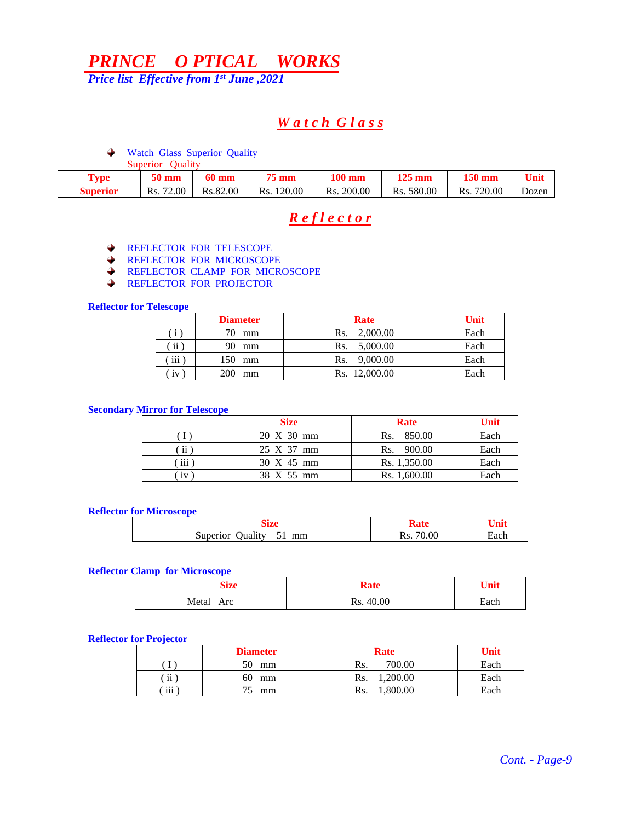*Price list Effective from 1st June ,2021*

## *W a t c h G l a s s*

Watch Glass Superior Quality

|             | Oualitv<br>Superior |              |               |               |                  |               |       |
|-------------|---------------------|--------------|---------------|---------------|------------------|---------------|-------|
| <b>Type</b> | <b>50 mm</b>        | <b>60 mm</b> | <b>75 mm</b>  | <b>100 mm</b> | $125 \text{ mm}$ | <b>150 mm</b> | Unit  |
| Superior    | 72.00<br>Rs.        | Rs.82.00     | 120.00<br>Rs. | Rs. 200.00    | Rs. 580.00       | 720.00<br>Rs. | Dozen |

## *R e f l e c t o r*

- REFLECTOR FOR TELESCOPE →
- REFLECTOR FOR MICROSCOPE  $\blacklozenge$
- **REFLECTOR CLAMP FOR MICROSCOPE**
- $\ddotmark$ REFLECTOR FOR PROJECTOR

#### **Reflector for Telescope**

|               | <b>Diameter</b> | <b>Rate</b>     | Unit |
|---------------|-----------------|-----------------|------|
| $\mathbf{i}$  | 70.<br>mm       | Rs. 2,000.00    | Each |
| $\mathbf{ii}$ | 90<br>mm        | 5,000.00<br>Rs. | Each |
| iii           | 150-<br>mm      | Rs. 9,000.00    | Each |
| iv            | mm              | Rs. 12,000.00   | Each |

#### **Secondary Mirror for Telescope**

|     | <b>Size</b> | Rate         | Unit |
|-----|-------------|--------------|------|
|     | 20 X 30 mm  | Rs. 850.00   | Each |
| ii  | 25 X 37 mm  | Rs. 900.00   | Each |
| iii | 30 X 45 mm  | Rs. 1,350.00 | Each |
| 1V  | 38 X 55 mm  | Rs. 1,600.00 | Each |

#### **Reflector for Microscope**

|                                            | n                      | . .  |
|--------------------------------------------|------------------------|------|
| $\sim$ $\sim$<br>Superior<br>mm<br>Juality | 0.00<br>$\sim$<br>ANS. | tach |

#### **Reflector Clamp for Microscope**

| Size         | Rate         | Unit |
|--------------|--------------|------|
| Metal<br>Arc | 40.00<br>Rs. | Each |

#### **Reflector for Projector**

|                 | <b>Diameter</b> | Rate           | Unit |
|-----------------|-----------------|----------------|------|
|                 | 50<br>mm        | 700.00<br>Rs.  | Each |
| $\cdot$ .<br>11 | 60<br>mm        | ,200.00<br>Rs. | Each |
| $\cdots$<br>111 | mm              | .800.00<br>Rs. | Each |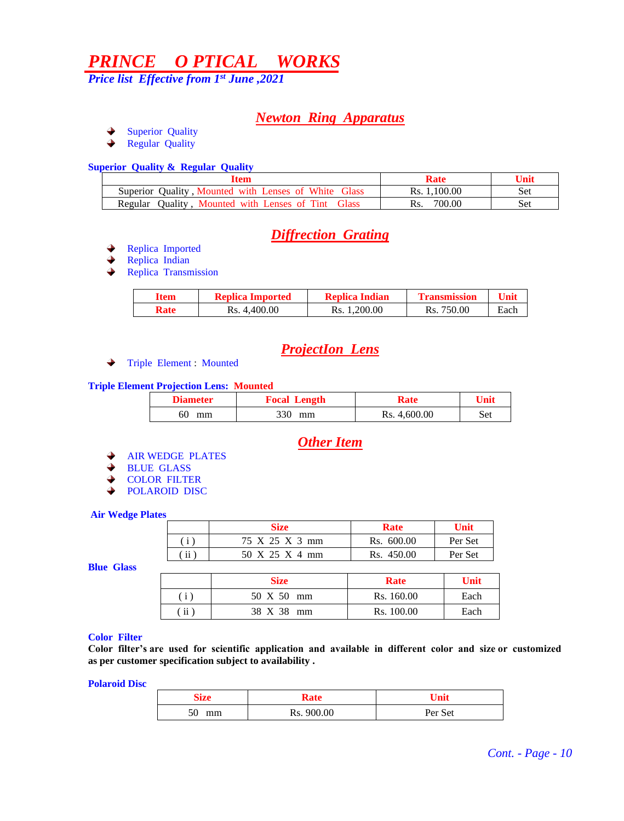*Price list Effective from 1st June ,2021*

### *Newton Ring Apparatus*

- Superior Quality →
- Regular Quality →

#### **Superior Quality & Regular Quality**

| Item                                                  | Rate         | Unit |
|-------------------------------------------------------|--------------|------|
| Superior Quality, Mounted with Lenses of White Glass  | Rs. 1.100.00 | Set  |
| Quality, Mounted with Lenses of Tint Glass<br>Regular | 700.00       | Set  |

## *Diffrection Grating*

- Replica Imported
- Replica Indian
- $\rightarrow$ Replica Transmission

| Item | <b>Replica Imported</b> | <b>Replica Indian</b> | Transmission |      |
|------|-------------------------|-----------------------|--------------|------|
| Rate | Rs. 4.400.00            | Rs. 1.200.00          | Rs. 750.00   | Each |

## *ProjectIon Lens*

◆ Triple Element : Mounted

#### **Triple Element Projection Lens: Mounted**

| <b>Diameter</b> | <b>Focal Length</b> | Rate         | Unit |
|-----------------|---------------------|--------------|------|
| 60<br>mm        | 330<br>mm           | Rs. 4,600.00 | Set  |

## *Other Item*

- AIR WEDGE PLATES
- → BLUE GLASS
- → COLOR FILTER
- POLAROID DISC  $\ddotmark$

#### **Air Wedge Plates**

|                | <b>Size</b>    | Rate       | <b>Unit</b> |
|----------------|----------------|------------|-------------|
| $\mathbf{i}$ ) | 75 X 25 X 3 mm | Rs. 600.00 | Per Set     |
| $\mathbf{ii}$  | 50 X 25 X 4 mm | Rs. 450.00 | Per Set     |

**Blue Glass** 

|     | <b>Size</b> | Rate       | Unit |
|-----|-------------|------------|------|
| (i) | 50 X 50 mm  | Rs. 160.00 | Each |
| ii  | 38 X 38 mm  | Rs. 100.00 | Each |

#### **Color Filter**

**Color filter's are used for scientific application and available in different color and size or customized as per customer specification subject to availability .**

**Polaroid Disc**

| Size     | Rate       | Unit    |
|----------|------------|---------|
| 50<br>mm | Rs. 900.00 | Per Set |